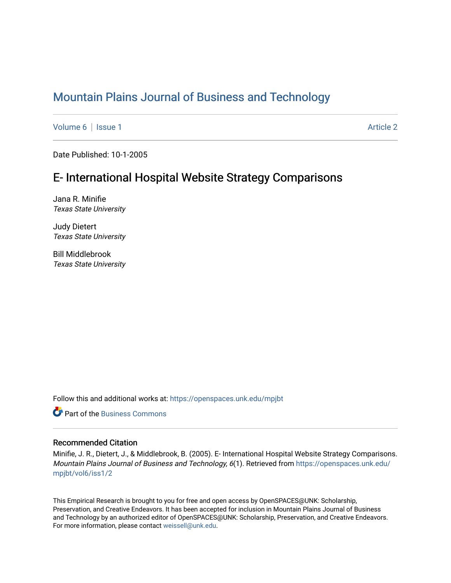# [Mountain Plains Journal of Business and Technology](https://openspaces.unk.edu/mpjbt)

[Volume 6](https://openspaces.unk.edu/mpjbt/vol6) | [Issue 1](https://openspaces.unk.edu/mpjbt/vol6/iss1) Article 2

Date Published: 10-1-2005

# E- International Hospital Website Strategy Comparisons

Jana R. Minifie Texas State University

Judy Dietert Texas State University

Bill Middlebrook Texas State University

Follow this and additional works at: [https://openspaces.unk.edu/mpjbt](https://openspaces.unk.edu/mpjbt?utm_source=openspaces.unk.edu%2Fmpjbt%2Fvol6%2Fiss1%2F2&utm_medium=PDF&utm_campaign=PDFCoverPages) 

**C** Part of the [Business Commons](http://network.bepress.com/hgg/discipline/622?utm_source=openspaces.unk.edu%2Fmpjbt%2Fvol6%2Fiss1%2F2&utm_medium=PDF&utm_campaign=PDFCoverPages)

#### Recommended Citation

Minifie, J. R., Dietert, J., & Middlebrook, B. (2005). E- International Hospital Website Strategy Comparisons. Mountain Plains Journal of Business and Technology, 6(1). Retrieved from [https://openspaces.unk.edu/](https://openspaces.unk.edu/mpjbt/vol6/iss1/2?utm_source=openspaces.unk.edu%2Fmpjbt%2Fvol6%2Fiss1%2F2&utm_medium=PDF&utm_campaign=PDFCoverPages) [mpjbt/vol6/iss1/2](https://openspaces.unk.edu/mpjbt/vol6/iss1/2?utm_source=openspaces.unk.edu%2Fmpjbt%2Fvol6%2Fiss1%2F2&utm_medium=PDF&utm_campaign=PDFCoverPages)

This Empirical Research is brought to you for free and open access by OpenSPACES@UNK: Scholarship, Preservation, and Creative Endeavors. It has been accepted for inclusion in Mountain Plains Journal of Business and Technology by an authorized editor of OpenSPACES@UNK: Scholarship, Preservation, and Creative Endeavors. For more information, please contact [weissell@unk.edu.](mailto:weissell@unk.edu)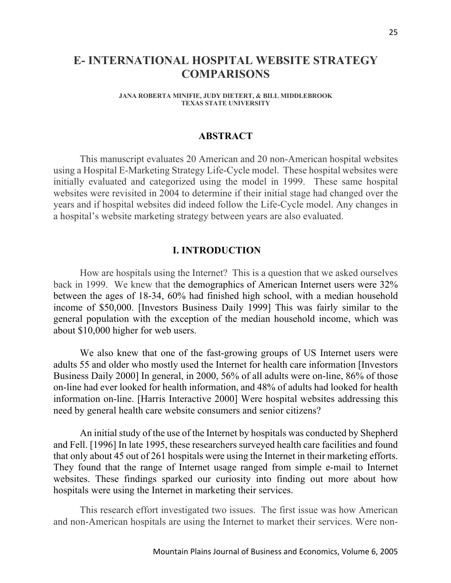## **E- INTERNATIONAL HOSPITAL WEBSITE STRATEGY COMPARISONS**

**JANA ROBERTA MINIFIE, JUDY DIETERT, & BILL MIDDLEBROOK TEXAS STATE UNIVERSITY**

#### **ABSTRACT**

This manuscript evaluates 20 American and 20 non-American hospital websites using a Hospital E-Marketing Strategy Life-Cycle model. These hospital websites were initially evaluated and categorized using the model in 1999. These same hospital websites were revisited in 2004 to determine if their initial stage had changed over the years and if hospital websites did indeed follow the Life-Cycle model. Any changes in a hospital's website marketing strategy between years are also evaluated.

#### **I. INTRODUCTION**

How are hospitals using the Internet? This is a question that we asked ourselves back in 1999. We knew that the demographics of American Internet users were 32% between the ages of 18-34, 60% had finished high school, with a median household income of \$50,000. [Investors Business Daily 1999] This was fairly similar to the general population with the exception of the median household income, which was about \$10,000 higher for web users.

We also knew that one of the fast-growing groups of US Internet users were adults 55 and older who mostly used the Internet for health care information [Investors Business Daily 2000] In general, in 2000, 56% of all adults were on-line, 86% of those on-line had ever looked for health information, and 48% of adults had looked for health information on-line. [Harris Interactive 2000] Were hospital websites addressing this need by general health care website consumers and senior citizens?

An initial study of the use of the Internet by hospitals was conducted by Shepherd and Fell. [1996] In late 1995, these researchers surveyed health care facilities and found that only about 45 out of 261 hospitals were using the Internet in their marketing efforts. They found that the range of Internet usage ranged from simple e-mail to Internet websites. These findings sparked our curiosity into finding out more about how hospitals were using the Internet in marketing their services.

This research effort investigated two issues. The first issue was how American and non-American hospitals are using the Internet to market their services. Were non-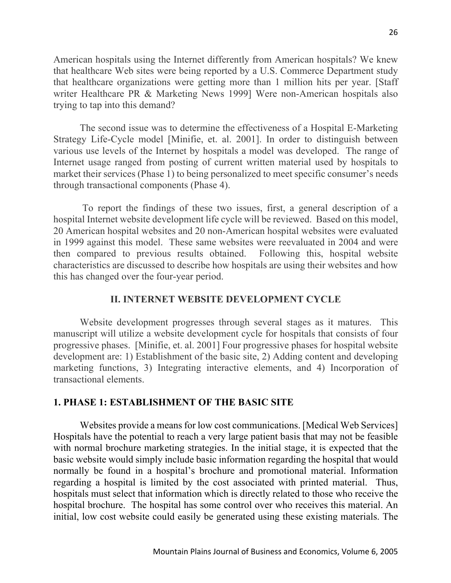American hospitals using the Internet differently from American hospitals? We knew that healthcare Web sites were being reported by a U.S. Commerce Department study that healthcare organizations were getting more than 1 million hits per year. [Staff writer Healthcare PR & Marketing News 1999] Were non-American hospitals also trying to tap into this demand?

The second issue was to determine the effectiveness of a Hospital E-Marketing Strategy Life-Cycle model [Minifie, et. al. 2001]. In order to distinguish between various use levels of the Internet by hospitals a model was developed. The range of Internet usage ranged from posting of current written material used by hospitals to market their services (Phase 1) to being personalized to meet specific consumer's needs through transactional components (Phase 4).

To report the findings of these two issues, first, a general description of a hospital Internet website development life cycle will be reviewed. Based on this model, 20 American hospital websites and 20 non-American hospital websites were evaluated in 1999 against this model. These same websites were reevaluated in 2004 and were then compared to previous results obtained. Following this, hospital website characteristics are discussed to describe how hospitals are using their websites and how this has changed over the four-year period.

### **II. INTERNET WEBSITE DEVELOPMENT CYCLE**

Website development progresses through several stages as it matures. This manuscript will utilize a website development cycle for hospitals that consists of four progressive phases. [Minifie, et. al. 2001] Four progressive phases for hospital website development are: 1) Establishment of the basic site, 2) Adding content and developing marketing functions, 3) Integrating interactive elements, and 4) Incorporation of transactional elements.

### **1. PHASE 1: ESTABLISHMENT OF THE BASIC SITE**

Websites provide a means for low cost communications. [Medical Web Services] Hospitals have the potential to reach a very large patient basis that may not be feasible with normal brochure marketing strategies. In the initial stage, it is expected that the basic website would simply include basic information regarding the hospital that would normally be found in a hospital's brochure and promotional material. Information regarding a hospital is limited by the cost associated with printed material. Thus, hospitals must select that information which is directly related to those who receive the hospital brochure. The hospital has some control over who receives this material. An initial, low cost website could easily be generated using these existing materials. The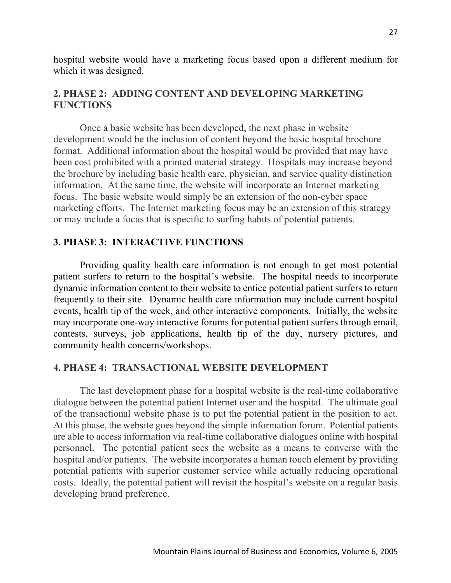hospital website would have a marketing focus based upon a different medium for which it was designed.

### **2. PHASE 2: ADDING CONTENT AND DEVELOPING MARKETING FUNCTIONS**

Once a basic website has been developed, the next phase in website development would be the inclusion of content beyond the basic hospital brochure format. Additional information about the hospital would be provided that may have been cost prohibited with a printed material strategy. Hospitals may increase beyond the brochure by including basic health care, physician, and service quality distinction information. At the same time, the website will incorporate an Internet marketing focus. The basic website would simply be an extension of the non-cyber space marketing efforts. The Internet marketing focus may be an extension of this strategy or may include a focus that is specific to surfing habits of potential patients.

### **3. PHASE 3: INTERACTIVE FUNCTIONS**

Providing quality health care information is not enough to get most potential patient surfers to return to the hospital's website. The hospital needs to incorporate dynamic information content to their website to entice potential patient surfers to return frequently to their site. Dynamic health care information may include current hospital events, health tip of the week, and other interactive components. Initially, the website may incorporate one-way interactive forums for potential patient surfers through email, contests, surveys, job applications, health tip of the day, nursery pictures, and community health concerns/workshops.

### **4. PHASE 4: TRANSACTIONAL WEBSITE DEVELOPMENT**

The last development phase for a hospital website is the real-time collaborative dialogue between the potential patient Internet user and the hospital. The ultimate goal of the transactional website phase is to put the potential patient in the position to act. At this phase, the website goes beyond the simple information forum. Potential patients are able to access information via real-time collaborative dialogues online with hospital personnel. The potential patient sees the website as a means to converse with the hospital and/or patients. The website incorporates a human touch element by providing potential patients with superior customer service while actually reducing operational costs. Ideally, the potential patient will revisit the hospital's website on a regular basis developing brand preference.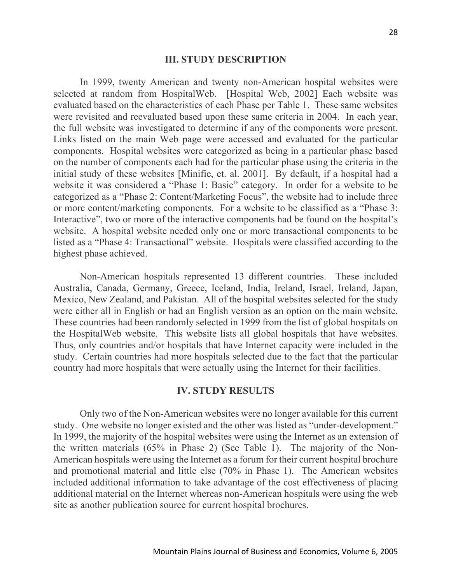#### **III. STUDY DESCRIPTION**

In 1999, twenty American and twenty non-American hospital websites were selected at random from HospitalWeb. [Hospital Web, 2002] Each website was evaluated based on the characteristics of each Phase per Table 1. These same websites were revisited and reevaluated based upon these same criteria in 2004. In each year, the full website was investigated to determine if any of the components were present. Links listed on the main Web page were accessed and evaluated for the particular components. Hospital websites were categorized as being in a particular phase based on the number of components each had for the particular phase using the criteria in the initial study of these websites [Minifie, et. al. 2001]. By default, if a hospital had a website it was considered a "Phase 1: Basic" category. In order for a website to be categorized as a "Phase 2: Content/Marketing Focus", the website had to include three or more content/marketing components. For a website to be classified as a "Phase 3: Interactive", two or more of the interactive components had be found on the hospital's website. A hospital website needed only one or more transactional components to be listed as a "Phase 4: Transactional" website. Hospitals were classified according to the highest phase achieved.

Non-American hospitals represented 13 different countries. These included Australia, Canada, Germany, Greece, Iceland, India, Ireland, Israel, Ireland, Japan, Mexico, New Zealand, and Pakistan. All of the hospital websites selected for the study were either all in English or had an English version as an option on the main website. These countries had been randomly selected in 1999 from the list of global hospitals on the HospitalWeb website. This website lists all global hospitals that have websites. Thus, only countries and/or hospitals that have Internet capacity were included in the study. Certain countries had more hospitals selected due to the fact that the particular country had more hospitals that were actually using the Internet for their facilities.

#### **IV. STUDY RESULTS**

Only two of the Non-American websites were no longer available for this current study. One website no longer existed and the other was listed as "under-development." In 1999, the majority of the hospital websites were using the Internet as an extension of the written materials (65% in Phase 2) (See Table 1). The majority of the Non-American hospitals were using the Internet as a forum for their current hospital brochure and promotional material and little else (70% in Phase 1). The American websites included additional information to take advantage of the cost effectiveness of placing additional material on the Internet whereas non-American hospitals were using the web site as another publication source for current hospital brochures.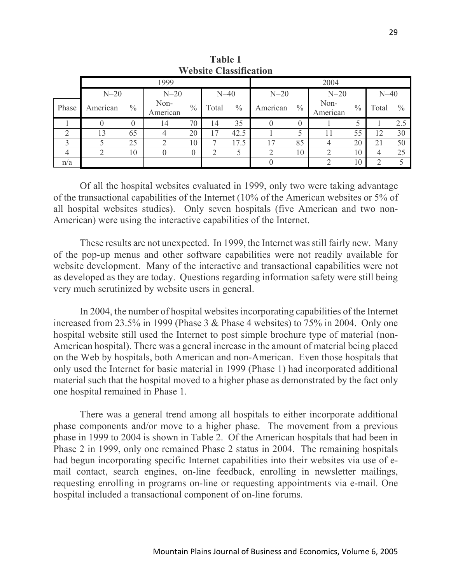| <b>Website Classification</b> |          |               |                  |               |        |               |          |               |                  |               |                |               |
|-------------------------------|----------|---------------|------------------|---------------|--------|---------------|----------|---------------|------------------|---------------|----------------|---------------|
|                               | 1999     |               |                  |               |        | 2004          |          |               |                  |               |                |               |
|                               | $N=20$   |               | $N=20$           |               | $N=40$ |               | $N=20$   |               | $N=20$           |               | $N=40$         |               |
| Phase                         | American | $\frac{0}{0}$ | Non-<br>American | $\frac{0}{0}$ | Total  | $\frac{0}{0}$ | American | $\frac{0}{0}$ | Non-<br>American | $\frac{0}{0}$ | Total          | $\frac{0}{0}$ |
|                               |          |               | 14               | 70            | 14     | 35            |          | $\theta$      |                  |               |                | 2.5           |
| ◠                             | 13       | 65            |                  | 20            | 17     | 42.5          |          |               | 11               | 55            | 12             | 30            |
| 3                             |          | 25            |                  | 10            |        | 17.5          | 17       | 85            |                  | 20            | 21             | 50            |
|                               |          | 10            |                  | $\theta$      |        |               |          | 10            |                  | 10            | 4              | 25            |
| n/a                           |          |               |                  |               |        |               |          |               |                  | 10            | $\overline{2}$ |               |

**Table 1 Website Classification**

Of all the hospital websites evaluated in 1999, only two were taking advantage of the transactional capabilities of the Internet (10% of the American websites or 5% of all hospital websites studies). Only seven hospitals (five American and two non-American) were using the interactive capabilities of the Internet.

These results are not unexpected. In 1999, the Internet was still fairly new. Many of the pop-up menus and other software capabilities were not readily available for website development. Many of the interactive and transactional capabilities were not as developed as they are today. Questions regarding information safety were still being very much scrutinized by website users in general.

In 2004, the number of hospital websites incorporating capabilities of the Internet increased from 23.5% in 1999 (Phase 3 & Phase 4 websites) to 75% in 2004. Only one hospital website still used the Internet to post simple brochure type of material (non-American hospital). There was a general increase in the amount of material being placed on the Web by hospitals, both American and non-American. Even those hospitals that only used the Internet for basic material in 1999 (Phase 1) had incorporated additional material such that the hospital moved to a higher phase as demonstrated by the fact only one hospital remained in Phase 1.

There was a general trend among all hospitals to either incorporate additional phase components and/or move to a higher phase. The movement from a previous phase in 1999 to 2004 is shown in Table 2. Of the American hospitals that had been in Phase 2 in 1999, only one remained Phase 2 status in 2004. The remaining hospitals had begun incorporating specific Internet capabilities into their websites via use of email contact, search engines, on-line feedback, enrolling in newsletter mailings, requesting enrolling in programs on-line or requesting appointments via e-mail. One hospital included a transactional component of on-line forums.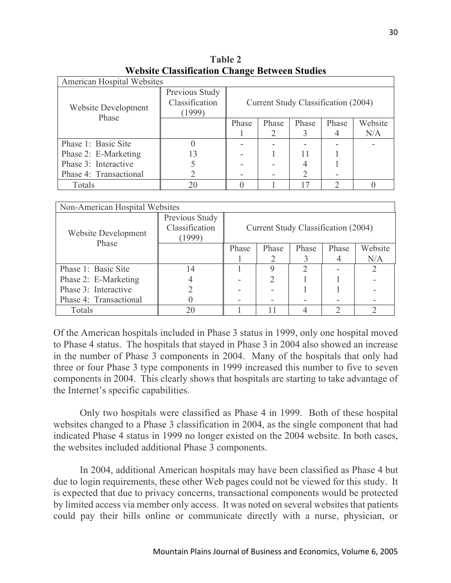| "Versite Charameters Change Deen een Staates |                                            |                                     |       |       |       |         |  |  |  |
|----------------------------------------------|--------------------------------------------|-------------------------------------|-------|-------|-------|---------|--|--|--|
| American Hospital Websites                   |                                            |                                     |       |       |       |         |  |  |  |
| Website Development<br>Phase                 | Previous Study<br>Classification<br>(1999) | Current Study Classification (2004) |       |       |       |         |  |  |  |
|                                              |                                            | Phase                               | Phase | Phase | Phase | Website |  |  |  |
|                                              |                                            |                                     |       |       |       | N/A     |  |  |  |
| Phase 1: Basic Site                          |                                            |                                     |       |       |       |         |  |  |  |
| Phase 2: E-Marketing                         | 13                                         |                                     |       |       |       |         |  |  |  |
| Phase 3: Interactive                         |                                            |                                     |       |       |       |         |  |  |  |
| Phase 4: Transactional                       |                                            |                                     |       |       |       |         |  |  |  |
| Totals                                       | 20                                         |                                     |       |       |       |         |  |  |  |

**Table 2 Website Classification Change Between Studies**

| Non-American Hospital Websites      |                                            |                                     |       |       |       |         |  |  |  |
|-------------------------------------|--------------------------------------------|-------------------------------------|-------|-------|-------|---------|--|--|--|
| <b>Website Development</b><br>Phase | Previous Study<br>Classification<br>(1999) | Current Study Classification (2004) |       |       |       |         |  |  |  |
|                                     |                                            | Phase                               | Phase | Phase | Phase | Website |  |  |  |
|                                     |                                            |                                     |       |       |       | N/A     |  |  |  |
| Phase 1: Basic Site                 | 14                                         |                                     |       |       |       |         |  |  |  |
| Phase 2: E-Marketing                |                                            |                                     |       |       |       |         |  |  |  |
| Phase 3: Interactive                |                                            |                                     |       |       |       |         |  |  |  |
| Phase 4: Transactional              |                                            |                                     |       |       |       |         |  |  |  |
| Totals                              | 20                                         |                                     |       |       |       |         |  |  |  |

Of the American hospitals included in Phase 3 status in 1999, only one hospital moved to Phase 4 status. The hospitals that stayed in Phase 3 in 2004 also showed an increase in the number of Phase 3 components in 2004. Many of the hospitals that only had three or four Phase 3 type components in 1999 increased this number to five to seven components in 2004. This clearly shows that hospitals are starting to take advantage of the Internet's specific capabilities.

Only two hospitals were classified as Phase 4 in 1999. Both of these hospital websites changed to a Phase 3 classification in 2004, as the single component that had indicated Phase 4 status in 1999 no longer existed on the 2004 website. In both cases, the websites included additional Phase 3 components.

In 2004, additional American hospitals may have been classified as Phase 4 but due to login requirements, these other Web pages could not be viewed for this study. It is expected that due to privacy concerns, transactional components would be protected by limited access via member only access. It was noted on several websites that patients could pay their bills online or communicate directly with a nurse, physician, or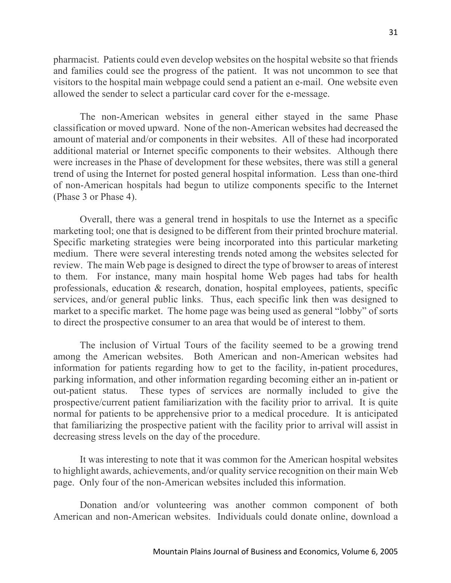pharmacist. Patients could even develop websites on the hospital website so that friends and families could see the progress of the patient. It was not uncommon to see that visitors to the hospital main webpage could send a patient an e-mail. One website even allowed the sender to select a particular card cover for the e-message.

The non-American websites in general either stayed in the same Phase classification or moved upward. None of the non-American websites had decreased the amount of material and/or components in their websites. All of these had incorporated additional material or Internet specific components to their websites. Although there were increases in the Phase of development for these websites, there was still a general trend of using the Internet for posted general hospital information. Less than one-third of non-American hospitals had begun to utilize components specific to the Internet (Phase 3 or Phase 4).

Overall, there was a general trend in hospitals to use the Internet as a specific marketing tool; one that is designed to be different from their printed brochure material. Specific marketing strategies were being incorporated into this particular marketing medium. There were several interesting trends noted among the websites selected for review. The main Web page is designed to direct the type of browser to areas of interest to them. For instance, many main hospital home Web pages had tabs for health professionals, education & research, donation, hospital employees, patients, specific services, and/or general public links. Thus, each specific link then was designed to market to a specific market. The home page was being used as general "lobby" of sorts to direct the prospective consumer to an area that would be of interest to them.

The inclusion of Virtual Tours of the facility seemed to be a growing trend among the American websites. Both American and non-American websites had information for patients regarding how to get to the facility, in-patient procedures, parking information, and other information regarding becoming either an in-patient or out-patient status. These types of services are normally included to give the prospective/current patient familiarization with the facility prior to arrival. It is quite normal for patients to be apprehensive prior to a medical procedure. It is anticipated that familiarizing the prospective patient with the facility prior to arrival will assist in decreasing stress levels on the day of the procedure.

It was interesting to note that it was common for the American hospital websites to highlight awards, achievements, and/or quality service recognition on their main Web page. Only four of the non-American websites included this information.

Donation and/or volunteering was another common component of both American and non-American websites. Individuals could donate online, download a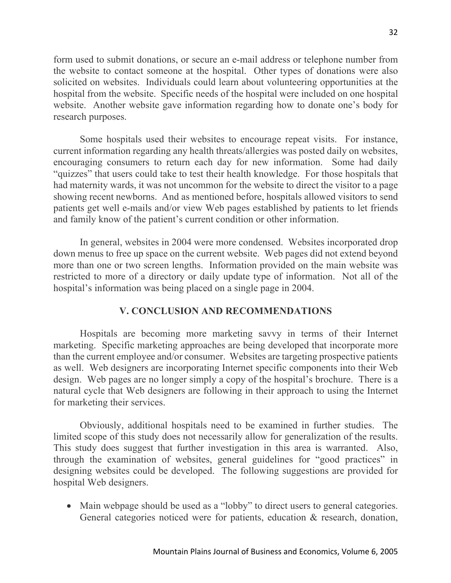form used to submit donations, or secure an e-mail address or telephone number from the website to contact someone at the hospital. Other types of donations were also solicited on websites. Individuals could learn about volunteering opportunities at the hospital from the website. Specific needs of the hospital were included on one hospital website. Another website gave information regarding how to donate one's body for research purposes.

Some hospitals used their websites to encourage repeat visits. For instance, current information regarding any health threats/allergies was posted daily on websites, encouraging consumers to return each day for new information. Some had daily "quizzes" that users could take to test their health knowledge. For those hospitals that had maternity wards, it was not uncommon for the website to direct the visitor to a page showing recent newborns. And as mentioned before, hospitals allowed visitors to send patients get well e-mails and/or view Web pages established by patients to let friends and family know of the patient's current condition or other information.

In general, websites in 2004 were more condensed. Websites incorporated drop down menus to free up space on the current website. Web pages did not extend beyond more than one or two screen lengths. Information provided on the main website was restricted to more of a directory or daily update type of information. Not all of the hospital's information was being placed on a single page in 2004.

### **V. CONCLUSION AND RECOMMENDATIONS**

Hospitals are becoming more marketing savvy in terms of their Internet marketing. Specific marketing approaches are being developed that incorporate more than the current employee and/or consumer. Websites are targeting prospective patients as well. Web designers are incorporating Internet specific components into their Web design. Web pages are no longer simply a copy of the hospital's brochure. There is a natural cycle that Web designers are following in their approach to using the Internet for marketing their services.

Obviously, additional hospitals need to be examined in further studies. The limited scope of this study does not necessarily allow for generalization of the results. This study does suggest that further investigation in this area is warranted. Also, through the examination of websites, general guidelines for "good practices" in designing websites could be developed. The following suggestions are provided for hospital Web designers.

• Main webpage should be used as a "lobby" to direct users to general categories. General categories noticed were for patients, education & research, donation,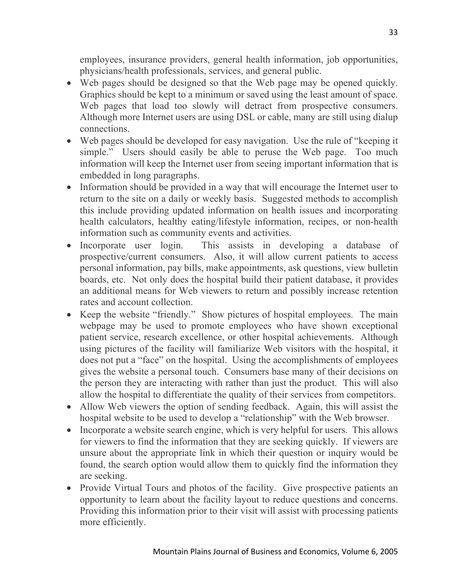employees, insurance providers, general health information, job opportunities, physicians/health professionals, services, and general public.

- Web pages should be designed so that the Web page may be opened quickly. Graphics should be kept to a minimum or saved using the least amount of space. Web pages that load too slowly will detract from prospective consumers. Although more Internet users are using DSL or cable, many are still using dialup connections.
- Web pages should be developed for easy navigation. Use the rule of "keeping it simple." Users should easily be able to peruse the Web page. Too much information will keep the Internet user from seeing important information that is embedded in long paragraphs.
- Information should be provided in a way that will encourage the Internet user to return to the site on a daily or weekly basis. Suggested methods to accomplish this include providing updated information on health issues and incorporating health calculators, healthy eating/lifestyle information, recipes, or non-health information such as community events and activities.
- Incorporate user login. This assists in developing a database of prospective/current consumers. Also, it will allow current patients to access personal information, pay bills, make appointments, ask questions, view bulletin boards, etc. Not only does the hospital build their patient database, it provides an additional means for Web viewers to return and possibly increase retention rates and account collection.
- Keep the website "friendly." Show pictures of hospital employees. The main webpage may be used to promote employees who have shown exceptional patient service, research excellence, or other hospital achievements. Although using pictures of the facility will familiarize Web visitors with the hospital, it does not put a "face" on the hospital. Using the accomplishments of employees gives the website a personal touch. Consumers base many of their decisions on the person they are interacting with rather than just the product. This will also allow the hospital to differentiate the quality of their services from competitors.
- Allow Web viewers the option of sending feedback. Again, this will assist the hospital website to be used to develop a "relationship" with the Web browser.
- Incorporate a website search engine, which is very helpful for users. This allows for viewers to find the information that they are seeking quickly. If viewers are unsure about the appropriate link in which their question or inquiry would be found, the search option would allow them to quickly find the information they are seeking.
- Provide Virtual Tours and photos of the facility. Give prospective patients an opportunity to learn about the facility layout to reduce questions and concerns. Providing this information prior to their visit will assist with processing patients more efficiently.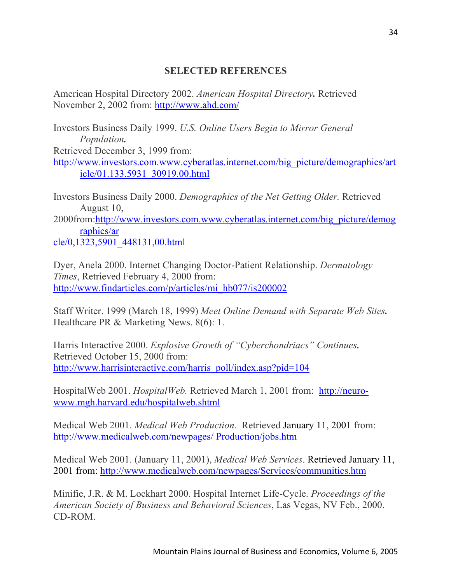### **SELECTED REFERENCES**

American Hospital Directory 2002. *American Hospital Directory.* Retrieved November 2, 2002 from: http://www.ahd.com/

Investors Business Daily 1999. *U.S. Online Users Begin to Mirror General Population.* Retrieved December 3, 1999 from: http://www.investors.com.www.cyberatlas.internet.com/big\_picture/demographics/art icle/01.133.5931\_30919.00.html

Investors Business Daily 2000. *Demographics of the Net Getting Older.* Retrieved August 10,

2000from:http://www.investors.com.www.cyberatlas.internet.com/big\_picture/demog raphics/ar

cle/0,1323,5901\_448131,00.html

Dyer, Anela 2000. Internet Changing Doctor-Patient Relationship. *Dermatology Times*, Retrieved February 4, 2000 from: http://www.findarticles.com/p/articles/mi\_hb077/is200002

Staff Writer. 1999 (March 18, 1999) *Meet Online Demand with Separate Web Sites.*  Healthcare PR & Marketing News. 8(6): 1.

Harris Interactive 2000. *Explosive Growth of "Cyberchondriacs" Continues.* Retrieved October 15, 2000 from: http://www.harrisinteractive.com/harris\_poll/index.asp?pid=104

HospitalWeb 2001. *HospitalWeb.* Retrieved March 1, 2001 from: http://neurowww.mgh.harvard.edu/hospitalweb.shtml

Medical Web 2001. *Medical Web Production*. Retrieved January 11, 2001 from: http://www.medicalweb.com/newpages/ Production/jobs.htm

Medical Web 2001. (January 11, 2001), *Medical Web Services*. Retrieved January 11, 2001 from: http://www.medicalweb.com/newpages/Services/communities.htm

Minifie, J.R. & M. Lockhart 2000. Hospital Internet Life-Cycle. *Proceedings of the American Society of Business and Behavioral Sciences*, Las Vegas, NV Feb., 2000. CD-ROM.